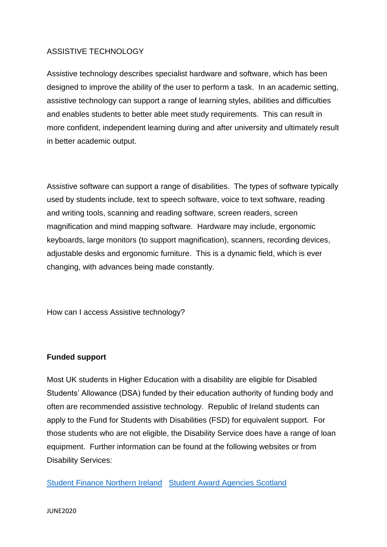# ASSISTIVE TECHNOLOGY

Assistive technology describes specialist hardware and software, which has been designed to improve the ability of the user to perform a task. In an academic setting, assistive technology can support a range of learning styles, abilities and difficulties and enables students to better able meet study requirements. This can result in more confident, independent learning during and after university and ultimately result in better academic output.

Assistive software can support a range of disabilities. The types of software typically used by students include, text to speech software, voice to text software, reading and writing tools, scanning and reading software, screen readers, screen magnification and mind mapping software. Hardware may include, ergonomic keyboards, large monitors (to support magnification), scanners, recording devices, adjustable desks and ergonomic furniture. This is a dynamic field, which is ever changing, with advances being made constantly.

How can I access Assistive technology?

# **Funded support**

Most UK students in Higher Education with a disability are eligible for Disabled Students' Allowance (DSA) funded by their education authority of funding body and often are recommended assistive technology. Republic of Ireland students can apply to the Fund for Students with Disabilities (FSD) for equivalent support. For those students who are not eligible, the Disability Service does have a range of loan equipment. Further information can be found at the following websites or from Disability Services:

[Student Finance Northern Ireland](https://www.studentfinanceni.co.uk/) [Student Award Agencies Scotland](https://www.saas.gov.uk/forms/dsa)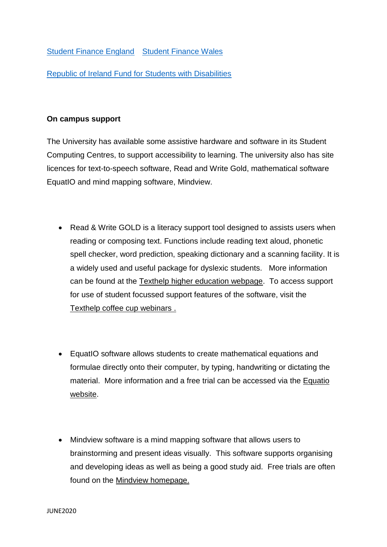[Student Finance England](https://www.gov.uk/contact-student-finance-england) [Student Finance Wales](https://www.studentfinancewales.co.uk/)

[Republic of Ireland Fund for Students with Disabilities](https://hea.ie/funding-governance-performance/funding/student-finance/fund-for-students-with-disabilities/)

# **On campus support**

The University has available some assistive hardware and software in its Student Computing Centres, to support accessibility to learning. The university also has site licences for text-to-speech software, Read and Write Gold, mathematical software EquatIO and mind mapping software, Mindview.

- Read & Write GOLD is a literacy support tool designed to assists users when reading or composing text. Functions include reading text aloud, phonetic spell checker, word prediction, speaking dictionary and a scanning facility. It is a widely used and useful package for dyslexic students.More information can be found at the [Texthelp higher education webpage.](https://www.texthelp.com/en-gb/sectors/education/higher-education/) To access support for use of student focussed support features of the software, visit the [Texthelp coffee cup webinars](https://www.texthelp.com/en-gb/support/events-webinars/getting-the-most-from-texthelp-products/coffee-cup-webinars/) .
- EquatIO software allows students to create mathematical equations and formulae directly onto their computer, by typing, handwriting or dictating the material. More information and a free trial can be accessed via the [Equatio](https://www.texthelp.com/en-gb/products/equatio/)  [website.](https://www.texthelp.com/en-gb/products/equatio/)
- Mindview software is a mind mapping software that allows users to brainstorming and present ideas visually. This software supports organising and developing ideas as well as being a good study aid. Free trials are often found on the [Mindview homepage.](https://www.matchware.com/)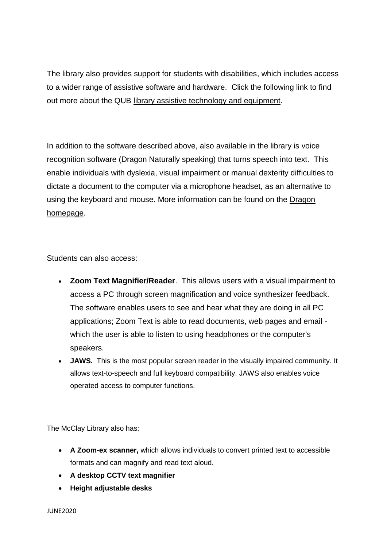The library also provides support for students with disabilities, which includes access to a wider range of assistive software and hardware. Click the following link to find out more about the QUB [library assistive technology and equipment.](https://www.qub.ac.uk/directorates/InformationServices/TheLibrary/UsingtheLibrary/Disability-AdditionalSupport/AssistiveTechnologyandEquipment/)

In addition to the software described above, also available in the library is voice recognition software (Dragon Naturally speaking) that turns speech into text. This enable individuals with dyslexia, visual impairment or manual dexterity difficulties to dictate a document to the computer via a microphone headset, as an alternative to using the keyboard and mouse. More information can be found on the [Dragon](https://shop.nuance.co.uk/store/nuanceeu/en_GB/Content/pbPage.home?currency=GBP&pgmid=95401100&utm_source=google&utm_medium=cpc&utm_campaign=EHK-AO-2020-DragonPC_Ecom%2B%2F%2BDBU%2B%2F%2BDPI%2B%2F%2BDragon%2B%2F%2BNaturally%2BSpeaking%2B%2F%2BProduct%2B%2F%2BUK%2B-%2BEN%2B%2F%2B-%2B%2F%2BExact%2B%2F%2BDesktop&keyword=dragon%2Bnaturally%2Bspeaking-e&gclid=EAIaIQobChMI5JKdv-KS6QIVNYBQBh2sawzhEAAYASAAEgJffvD_BwE)  [homepage.](https://shop.nuance.co.uk/store/nuanceeu/en_GB/Content/pbPage.home?currency=GBP&pgmid=95401100&utm_source=google&utm_medium=cpc&utm_campaign=EHK-AO-2020-DragonPC_Ecom%2B%2F%2BDBU%2B%2F%2BDPI%2B%2F%2BDragon%2B%2F%2BNaturally%2BSpeaking%2B%2F%2BProduct%2B%2F%2BUK%2B-%2BEN%2B%2F%2B-%2B%2F%2BExact%2B%2F%2BDesktop&keyword=dragon%2Bnaturally%2Bspeaking-e&gclid=EAIaIQobChMI5JKdv-KS6QIVNYBQBh2sawzhEAAYASAAEgJffvD_BwE)

Students can also access:

- **Zoom Text Magnifier/Reader**. This allows users with a visual impairment to access a PC through screen magnification and voice synthesizer feedback. The software enables users to see and hear what they are doing in all PC applications; Zoom Text is able to read documents, web pages and email which the user is able to listen to using headphones or the computer's speakers.
- **JAWS.** This is the most popular screen reader in the visually impaired community. It allows text-to-speech and full keyboard compatibility. JAWS also enables voice operated access to computer functions.

The McClay Library also has:

- **A Zoom-ex scanner,** which allows individuals to convert printed text to accessible formats and can magnify and read text aloud.
- **A desktop CCTV text magnifier**
- **Height adjustable desks**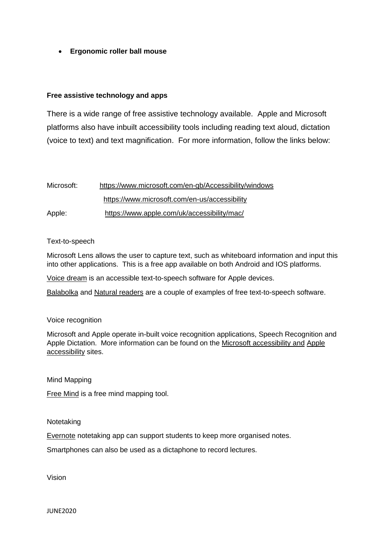**Ergonomic roller ball mouse** 

## **Free assistive technology and apps**

There is a wide range of free assistive technology available. Apple and Microsoft platforms also have inbuilt accessibility tools including reading text aloud, dictation (voice to text) and text magnification. For more information, follow the links below:

| Microsoft: | https://www.microsoft.com/en-gb/Accessibility/windows |
|------------|-------------------------------------------------------|
|            | https://www.microsoft.com/en-us/accessibility         |
| Apple:     | https://www.apple.com/uk/accessibility/mac/           |

### Text-to-speech

Microsoft Lens allows the user to capture text, such as whiteboard information and input this into other applications. This is a free app available on both Android and IOS platforms.

Voice dream is an accessible text-to-speech software for Apple devices.

[Balabolka](https://balabolka.en.softonic.com/) and [Natural readers](https://www.naturalreaders.com/) are a couple of examples of free text-to-speech software.

### Voice recognition

Microsoft and Apple operate in-built voice recognition applications, Speech Recognition and Apple Dictation. More information can be found on the [Microsoft accessibility](https://www.microsoft.com/en-gb/Accessibility/windows) and [Apple](https://www.apple.com/uk/accessibility/mac/)  [accessibility](https://www.apple.com/uk/accessibility/mac/) sites.

Mind Mapping

[Free Mind](https://sourceforge.net/projects/freemind/) is a free mind mapping tool.

### Notetaking

[Evernote](https://evernote.com/) notetaking app can support students to keep more organised notes.

Smartphones can also be used as a dictaphone to record lectures.

Vision